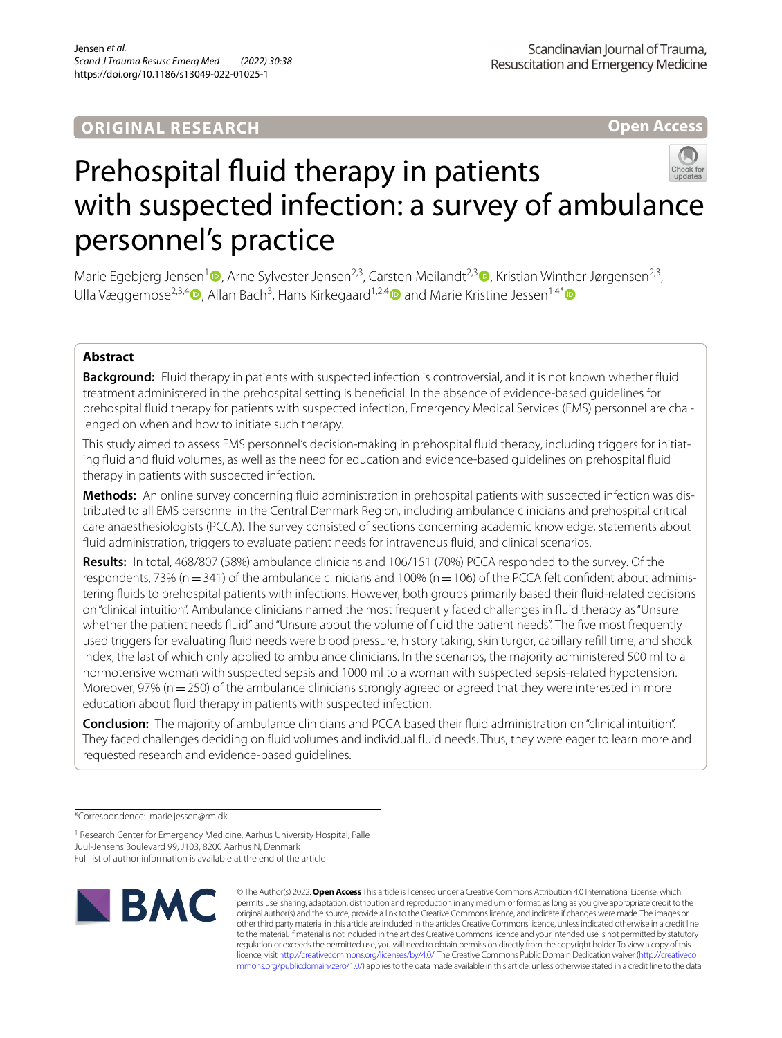# **ORIGINAL RESEARCH**

**Open Access**



Marie Egebjerg Jensen<sup>[1](https://orcid.org/0000-0002-8624-9960)</sup><sup>®</sup>[,](https://orcid.org/0000-0002-7026-0807) Arne Sylvester Jensen<sup>2,3</sup>, Carsten Meilandt<sup>2,3</sup><sup>®</sup>, Kristian Winther Jørgensen<sup>2,3</sup>, Ulla Væggemose<sup>2,3,[4](https://orcid.org/0000-0003-1389-6777)</sup> $\bullet$ , Allan Bach<sup>3</sup>, Hans Kirkegaard<sup>1,2,4</sup> $\bullet$  and Marie Kristine Jessen<sup>1,4\*</sup> $\bullet$ 

# **Abstract**

**Background:** Fluid therapy in patients with suspected infection is controversial, and it is not known whether fuid treatment administered in the prehospital setting is benefcial. In the absence of evidence-based guidelines for prehospital fuid therapy for patients with suspected infection, Emergency Medical Services (EMS) personnel are challenged on when and how to initiate such therapy.

This study aimed to assess EMS personnel's decision-making in prehospital fuid therapy, including triggers for initiating fuid and fuid volumes, as well as the need for education and evidence-based guidelines on prehospital fuid therapy in patients with suspected infection.

**Methods:** An online survey concerning fuid administration in prehospital patients with suspected infection was distributed to all EMS personnel in the Central Denmark Region, including ambulance clinicians and prehospital critical care anaesthesiologists (PCCA). The survey consisted of sections concerning academic knowledge, statements about fuid administration, triggers to evaluate patient needs for intravenous fuid, and clinical scenarios.

**Results:** In total, 468/807 (58%) ambulance clinicians and 106/151 (70%) PCCA responded to the survey. Of the respondents, 73% ( $n=341$ ) of the ambulance clinicians and 100% ( $n=106$ ) of the PCCA felt confident about administering fuids to prehospital patients with infections. However, both groups primarily based their fuid-related decisions on "clinical intuition". Ambulance clinicians named the most frequently faced challenges in fuid therapy as "Unsure whether the patient needs fuid" and "Unsure about the volume of fuid the patient needs". The fve most frequently used triggers for evaluating fuid needs were blood pressure, history taking, skin turgor, capillary refll time, and shock index, the last of which only applied to ambulance clinicians. In the scenarios, the majority administered 500 ml to a normotensive woman with suspected sepsis and 1000 ml to a woman with suspected sepsis-related hypotension. Moreover, 97% ( $n=250$ ) of the ambulance clinicians strongly agreed or agreed that they were interested in more education about fuid therapy in patients with suspected infection.

**Conclusion:** The majority of ambulance clinicians and PCCA based their fuid administration on "clinical intuition". They faced challenges deciding on fuid volumes and individual fuid needs. Thus, they were eager to learn more and requested research and evidence-based guidelines.

\*Correspondence: marie.jessen@rm.dk

<sup>1</sup> Research Center for Emergency Medicine, Aarhus University Hospital, Palle Juul-Jensens Boulevard 99, J103, 8200 Aarhus N, Denmark

Full list of author information is available at the end of the article



© The Author(s) 2022. **Open Access** This article is licensed under a Creative Commons Attribution 4.0 International License, which permits use, sharing, adaptation, distribution and reproduction in any medium or format, as long as you give appropriate credit to the original author(s) and the source, provide a link to the Creative Commons licence, and indicate if changes were made. The images or other third party material in this article are included in the article's Creative Commons licence, unless indicated otherwise in a credit line to the material. If material is not included in the article's Creative Commons licence and your intended use is not permitted by statutory regulation or exceeds the permitted use, you will need to obtain permission directly from the copyright holder. To view a copy of this licence, visit [http://creativecommons.org/licenses/by/4.0/.](http://creativecommons.org/licenses/by/4.0/) The Creative Commons Public Domain Dedication waiver ([http://creativeco](http://creativecommons.org/publicdomain/zero/1.0/) [mmons.org/publicdomain/zero/1.0/](http://creativecommons.org/publicdomain/zero/1.0/)) applies to the data made available in this article, unless otherwise stated in a credit line to the data.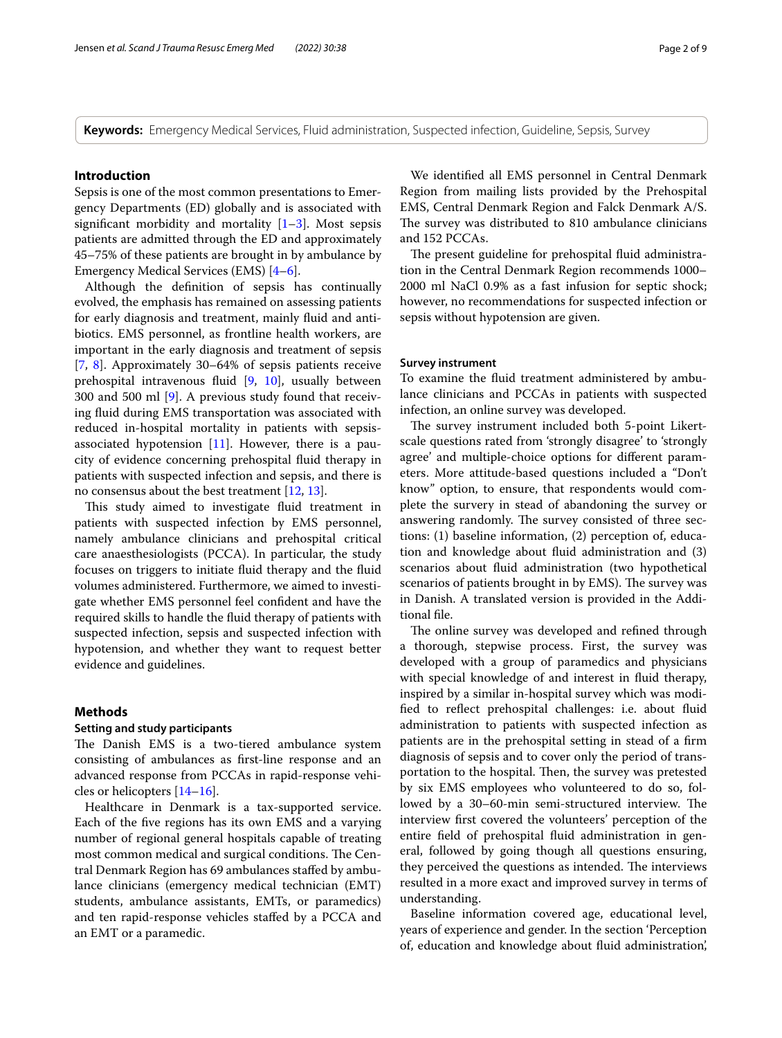**Keywords:** Emergency Medical Services, Fluid administration, Suspected infection, Guideline, Sepsis, Survey

### **Introduction**

Sepsis is one of the most common presentations to Emergency Departments (ED) globally and is associated with significant morbidity and mortality  $[1-3]$  $[1-3]$  $[1-3]$ . Most sepsis patients are admitted through the ED and approximately 45–75% of these patients are brought in by ambulance by Emergency Medical Services (EMS) [[4–](#page-7-2)[6\]](#page-7-3).

Although the defnition of sepsis has continually evolved, the emphasis has remained on assessing patients for early diagnosis and treatment, mainly fuid and antibiotics. EMS personnel, as frontline health workers, are important in the early diagnosis and treatment of sepsis [[7,](#page-7-4) [8\]](#page-7-5). Approximately 30–64% of sepsis patients receive prehospital intravenous fuid [[9,](#page-7-6) [10](#page-7-7)], usually between 300 and 500 ml [\[9](#page-7-6)]. A previous study found that receiving fuid during EMS transportation was associated with reduced in-hospital mortality in patients with sepsisassociated hypotension [\[11\]](#page-7-8). However, there is a paucity of evidence concerning prehospital fuid therapy in patients with suspected infection and sepsis, and there is no consensus about the best treatment [[12,](#page-8-0) [13\]](#page-8-1).

This study aimed to investigate fluid treatment in patients with suspected infection by EMS personnel, namely ambulance clinicians and prehospital critical care anaesthesiologists (PCCA). In particular, the study focuses on triggers to initiate fuid therapy and the fuid volumes administered. Furthermore, we aimed to investigate whether EMS personnel feel confdent and have the required skills to handle the fuid therapy of patients with suspected infection, sepsis and suspected infection with hypotension, and whether they want to request better evidence and guidelines.

#### **Methods**

### **Setting and study participants**

The Danish EMS is a two-tiered ambulance system consisting of ambulances as frst-line response and an advanced response from PCCAs in rapid-response vehicles or helicopters [[14–](#page-8-2)[16\]](#page-8-3).

Healthcare in Denmark is a tax-supported service. Each of the fve regions has its own EMS and a varying number of regional general hospitals capable of treating most common medical and surgical conditions. The Central Denmark Region has 69 ambulances stafed by ambulance clinicians (emergency medical technician (EMT) students, ambulance assistants, EMTs, or paramedics) and ten rapid-response vehicles stafed by a PCCA and an EMT or a paramedic.

We identifed all EMS personnel in Central Denmark Region from mailing lists provided by the Prehospital EMS, Central Denmark Region and Falck Denmark A/S. The survey was distributed to 810 ambulance clinicians and 152 PCCAs.

The present guideline for prehospital fluid administration in the Central Denmark Region recommends 1000– 2000 ml NaCl 0.9% as a fast infusion for septic shock; however, no recommendations for suspected infection or sepsis without hypotension are given.

### **Survey instrument**

To examine the fuid treatment administered by ambulance clinicians and PCCAs in patients with suspected infection, an online survey was developed.

The survey instrument included both 5-point Likertscale questions rated from 'strongly disagree' to 'strongly agree' and multiple-choice options for diferent parameters. More attitude-based questions included a "Don't know" option, to ensure, that respondents would complete the survery in stead of abandoning the survey or answering randomly. The survey consisted of three sections: (1) baseline information, (2) perception of, education and knowledge about fuid administration and (3) scenarios about fuid administration (two hypothetical scenarios of patients brought in by EMS). The survey was in Danish. A translated version is provided in the Additional fle.

The online survey was developed and refined through a thorough, stepwise process. First, the survey was developed with a group of paramedics and physicians with special knowledge of and interest in fuid therapy, inspired by a similar in-hospital survey which was modifed to refect prehospital challenges: i.e. about fuid administration to patients with suspected infection as patients are in the prehospital setting in stead of a frm diagnosis of sepsis and to cover only the period of transportation to the hospital. Then, the survey was pretested by six EMS employees who volunteered to do so, followed by a 30–60-min semi-structured interview. The interview frst covered the volunteers' perception of the entire feld of prehospital fuid administration in general, followed by going though all questions ensuring, they perceived the questions as intended. The interviews resulted in a more exact and improved survey in terms of understanding.

Baseline information covered age, educational level, years of experience and gender. In the section 'Perception of, education and knowledge about fuid administration',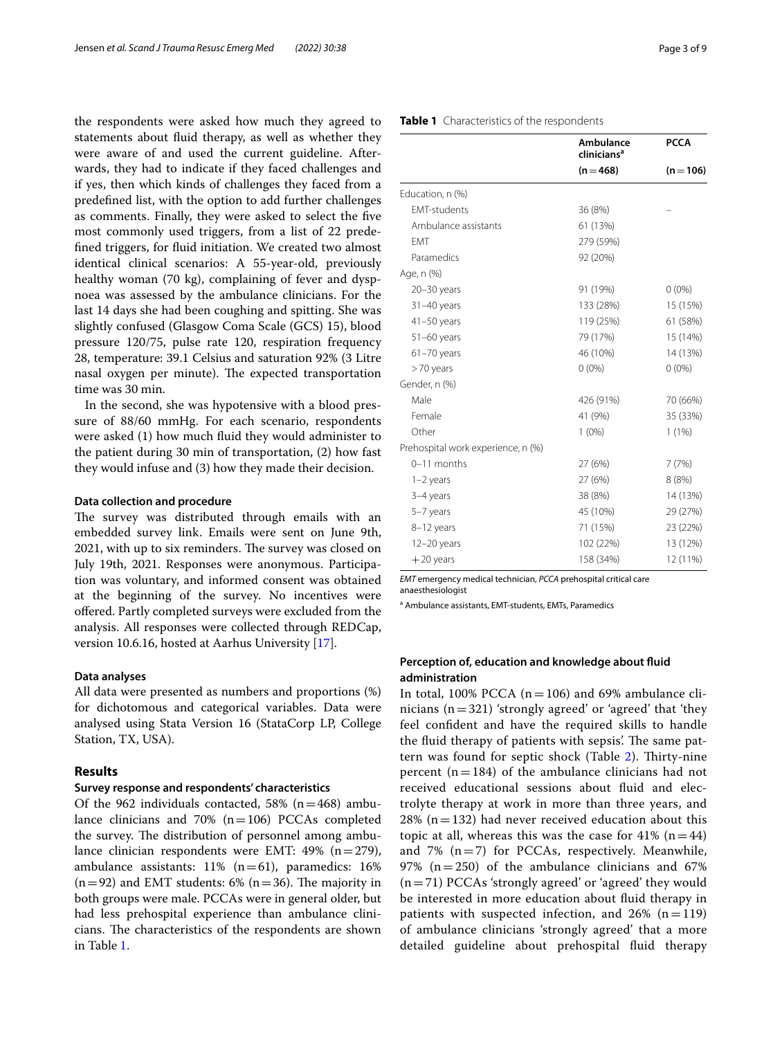the respondents were asked how much they agreed to statements about fuid therapy, as well as whether they were aware of and used the current guideline. Afterwards, they had to indicate if they faced challenges and if yes, then which kinds of challenges they faced from a predefned list, with the option to add further challenges as comments. Finally, they were asked to select the fve most commonly used triggers, from a list of 22 predefned triggers, for fuid initiation. We created two almost identical clinical scenarios: A 55-year-old, previously healthy woman (70 kg), complaining of fever and dyspnoea was assessed by the ambulance clinicians. For the last 14 days she had been coughing and spitting. She was slightly confused (Glasgow Coma Scale (GCS) 15), blood pressure 120/75, pulse rate 120, respiration frequency 28, temperature: 39.1 Celsius and saturation 92% (3 Litre nasal oxygen per minute). The expected transportation time was 30 min.

In the second, she was hypotensive with a blood pressure of 88/60 mmHg. For each scenario, respondents were asked (1) how much fuid they would administer to the patient during 30 min of transportation, (2) how fast they would infuse and (3) how they made their decision.

#### **Data collection and procedure**

The survey was distributed through emails with an embedded survey link. Emails were sent on June 9th, 2021, with up to six reminders. The survey was closed on July 19th, 2021. Responses were anonymous. Participation was voluntary, and informed consent was obtained at the beginning of the survey. No incentives were ofered. Partly completed surveys were excluded from the analysis. All responses were collected through REDCap, version 10.6.16, hosted at Aarhus University [[17](#page-8-4)].

#### **Data analyses**

All data were presented as numbers and proportions (%) for dichotomous and categorical variables. Data were analysed using Stata Version 16 (StataCorp LP, College Station, TX, USA).

### **Results**

### **Survey response and respondents' characteristics**

Of the 962 individuals contacted, 58%  $(n=468)$  ambulance clinicians and 70%  $(n=106)$  PCCAs completed the survey. The distribution of personnel among ambulance clinician respondents were EMT:  $49\%$  (n=279), ambulance assistants:  $11\%$  (n=61), paramedics:  $16\%$  $(n=92)$  and EMT students: 6%  $(n=36)$ . The majority in both groups were male. PCCAs were in general older, but had less prehospital experience than ambulance clinicians. The characteristics of the respondents are shown in Table [1](#page-2-0).

#### <span id="page-2-0"></span>**Table 1** Characteristics of the respondents

|                                    | Ambulance<br>clinicians <sup>a</sup><br>$(n=468)$ | <b>PCCA</b><br>$(n = 106)$ |
|------------------------------------|---------------------------------------------------|----------------------------|
|                                    |                                                   |                            |
| Education, n (%)                   |                                                   |                            |
| <b>EMT-students</b>                | 36 (8%)                                           |                            |
| Ambulance assistants               | 61 (13%)                                          |                            |
| <b>FMT</b>                         | 279 (59%)                                         |                            |
| Paramedics                         | 92 (20%)                                          |                            |
| Age, n (%)                         |                                                   |                            |
| $20 - 30$ years                    | 91 (19%)                                          | $0(0\%)$                   |
| $31-40$ years                      | 133 (28%)                                         | 15 (15%)                   |
| $41 - 50$ years                    | 119 (25%)                                         | 61 (58%)                   |
| $51-60$ years                      | 79 (17%)                                          | 15 (14%)                   |
| $61 - 70$ years                    | 46 (10%)                                          | 14 (13%)                   |
| >70 years                          | $0(0\%)$                                          | $0(0\%)$                   |
| Gender, n (%)                      |                                                   |                            |
| Male                               | 426 (91%)                                         | 70 (66%)                   |
| Female                             | 41 (9%)                                           | 35 (33%)                   |
| Other                              | $1(0\%)$                                          | 1(1%)                      |
| Prehospital work experience, n (%) |                                                   |                            |
| 0-11 months                        | 27 (6%)                                           | 7(7%)                      |
| $1-2$ years                        | 27 (6%)                                           | 8(8%)                      |
| 3-4 years                          | 38 (8%)                                           | 14 (13%)                   |
| 5-7 years                          | 45 (10%)                                          | 29 (27%)                   |
| 8-12 years                         | 71 (15%)                                          | 23 (22%)                   |
| $12 - 20$ years                    | 102 (22%)                                         | 13 (12%)                   |
| $+20$ years                        | 158 (34%)                                         | 12 (11%)                   |

*EMT* emergency medical technician, *PCCA* prehospital critical care anaesthesiologist

a Ambulance assistants, EMT-students, EMTs, Paramedics

# **Perception of, education and knowledge about fuid administration**

In total, 100% PCCA ( $n=106$ ) and 69% ambulance clinicians  $(n=321)$  'strongly agreed' or 'agreed' that 'they feel confdent and have the required skills to handle the fluid therapy of patients with sepsis'. The same pat-tern was found for septic shock (Table [2](#page-3-0)). Thirty-nine percent  $(n=184)$  of the ambulance clinicians had not received educational sessions about fuid and electrolyte therapy at work in more than three years, and  $28\%$  (n = 132) had never received education about this topic at all, whereas this was the case for 41%  $(n=44)$ and 7%  $(n=7)$  for PCCAs, respectively. Meanwhile, 97% ( $n=250$ ) of the ambulance clinicians and 67%  $(n=71)$  PCCAs 'strongly agreed' or 'agreed' they would be interested in more education about fuid therapy in patients with suspected infection, and  $26\%$  (n=119) of ambulance clinicians 'strongly agreed' that a more detailed guideline about prehospital fuid therapy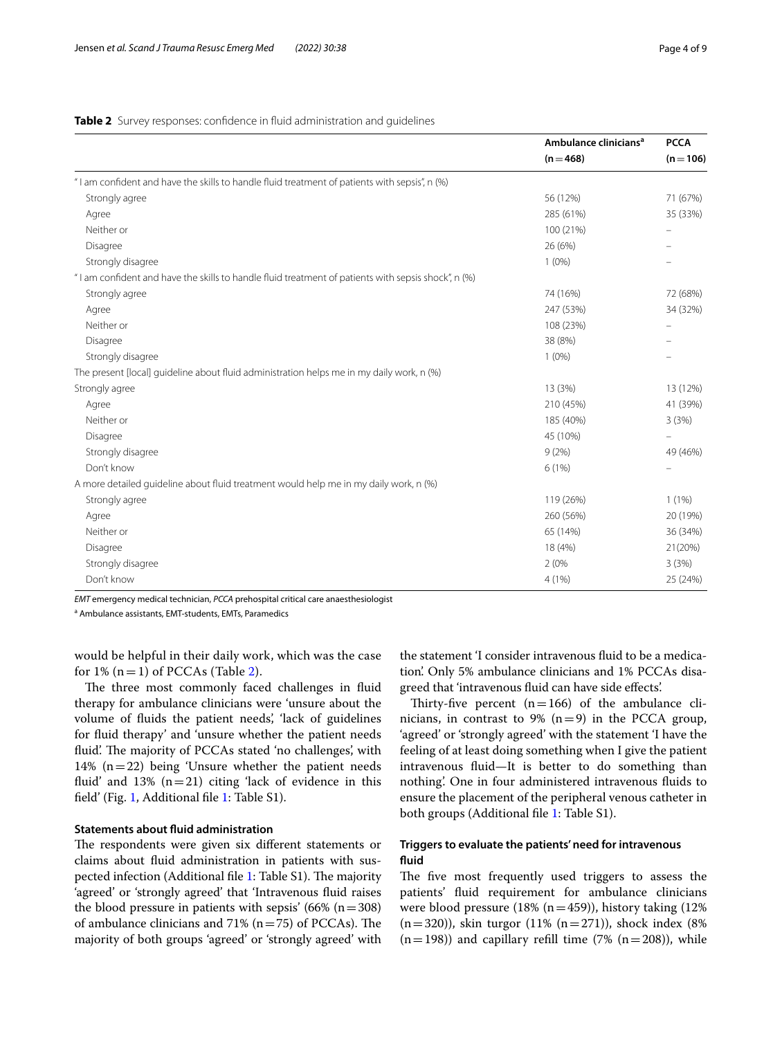#### <span id="page-3-0"></span>**Table 2** Survey responses: confidence in fluid administration and quidelines

|                                                                                                     | Ambulance clinicians <sup>a</sup> | <b>PCCA</b><br>$(n = 106)$ |
|-----------------------------------------------------------------------------------------------------|-----------------------------------|----------------------------|
|                                                                                                     | $(n=468)$                         |                            |
| "I am confident and have the skills to handle fluid treatment of patients with sepsis", n (%)       |                                   |                            |
| Strongly agree                                                                                      | 56 (12%)                          | 71 (67%)                   |
| Agree                                                                                               | 285 (61%)                         | 35 (33%)                   |
| Neither or                                                                                          | 100 (21%)                         | $\overline{\phantom{0}}$   |
| Disagree                                                                                            | 26 (6%)                           | $\equiv$                   |
| Strongly disagree                                                                                   | $1(0\%)$                          |                            |
| "I am confident and have the skills to handle fluid treatment of patients with sepsis shock", n (%) |                                   |                            |
| Strongly agree                                                                                      | 74 (16%)                          | 72 (68%)                   |
| Agree                                                                                               | 247 (53%)                         | 34 (32%)                   |
| Neither or                                                                                          | 108 (23%)                         | $\overline{\phantom{m}}$   |
| Disagree                                                                                            | 38 (8%)                           |                            |
| Strongly disagree                                                                                   | $1(0\%)$                          |                            |
| The present [local] quideline about fluid administration helps me in my daily work, n (%)           |                                   |                            |
| Strongly agree                                                                                      | 13 (3%)                           | 13 (12%)                   |
| Agree                                                                                               | 210 (45%)                         | 41 (39%)                   |
| Neither or                                                                                          | 185 (40%)                         | 3(3%)                      |
| Disagree                                                                                            | 45 (10%)                          | $\overline{\phantom{m}}$   |
| Strongly disagree                                                                                   | 9(2%)                             | 49 (46%)                   |
| Don't know                                                                                          | 6(1%)                             |                            |
| A more detailed guideline about fluid treatment would help me in my daily work, n (%)               |                                   |                            |
| Strongly agree                                                                                      | 119 (26%)                         | 1(1%)                      |
| Agree                                                                                               | 260 (56%)                         | 20 (19%)                   |
| Neither or                                                                                          | 65 (14%)                          | 36 (34%)                   |
| Disagree                                                                                            | 18 (4%)                           | 21(20%)                    |
| Strongly disagree                                                                                   | 2(0%                              | 3(3%)                      |
| Don't know                                                                                          | 4 (1%)                            | 25 (24%)                   |

*EMT* emergency medical technician, *PCCA* prehospital critical care anaesthesiologist

<sup>a</sup> Ambulance assistants, EMT-students, EMTs, Paramedics

would be helpful in their daily work, which was the case for  $1\%$  (n = 1) of PCCAs (Table [2](#page-3-0)).

The three most commonly faced challenges in fluid therapy for ambulance clinicians were 'unsure about the volume of fuids the patient needs', 'lack of guidelines for fuid therapy' and 'unsure whether the patient needs fluid'. The majority of PCCAs stated 'no challenges', with 14% (n=22) being 'Unsure whether the patient needs fluid' and  $13\%$  (n=21) citing 'lack of evidence in this feld' (Fig. [1,](#page-4-0) Additional fle [1:](#page-7-9) Table S1).

# **Statements about fuid administration**

The respondents were given six different statements or claims about fuid administration in patients with sus-pected infection (Additional file [1:](#page-7-9) Table S1). The majority 'agreed' or 'strongly agreed' that 'Intravenous fuid raises the blood pressure in patients with sepsis' (66%  $(n=308)$ ) of ambulance clinicians and 71% ( $n=75$ ) of PCCAs). The majority of both groups 'agreed' or 'strongly agreed' with

the statement 'I consider intravenous fuid to be a medication'. Only 5% ambulance clinicians and 1% PCCAs disagreed that 'intravenous fuid can have side efects'.

Thirty-five percent  $(n=166)$  of the ambulance clinicians, in contrast to 9%  $(n=9)$  in the PCCA group, 'agreed' or 'strongly agreed' with the statement 'I have the feeling of at least doing something when I give the patient intravenous fuid—It is better to do something than nothing'. One in four administered intravenous fuids to ensure the placement of the peripheral venous catheter in both groups (Additional fle [1](#page-7-9): Table S1).

# **Triggers to evaluate the patients' need for intravenous fuid**

The five most frequently used triggers to assess the patients' fuid requirement for ambulance clinicians were blood pressure  $(18% (n=459))$ , history taking  $(12%$  $(n=320)$ ), skin turgor (11%  $(n=271)$ ), shock index (8%)  $(n=198)$ ) and capillary refill time (7%  $(n=208)$ ), while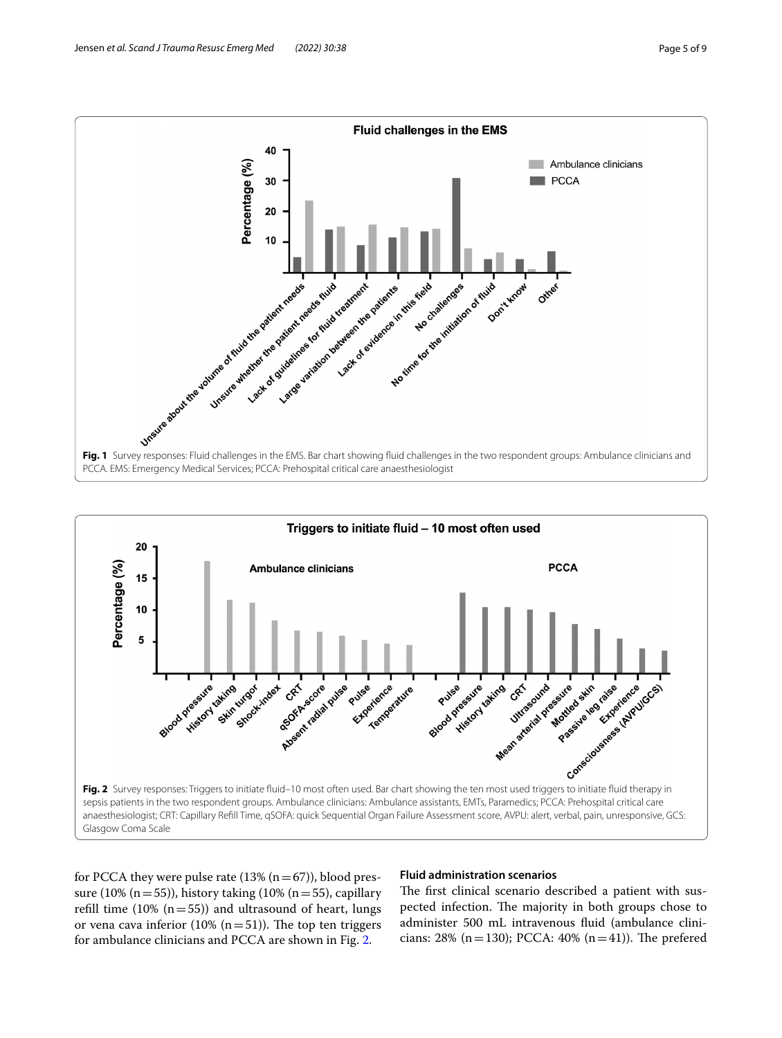

<span id="page-4-0"></span>

<span id="page-4-1"></span>for PCCA they were pulse rate  $(13% (n=67))$ , blood pressure (10% (n = 55)), history taking (10% (n = 55), capillary refill time  $(10\% (n=55))$  and ultrasound of heart, lungs or vena cava inferior (10%  $(n=51)$ ). The top ten triggers for ambulance clinicians and PCCA are shown in Fig. [2](#page-4-1).

# **Fluid administration scenarios**

The first clinical scenario described a patient with suspected infection. The majority in both groups chose to administer 500 mL intravenous fuid (ambulance clinicians: 28% (n = 130); PCCA: 40% (n = 41)). The prefered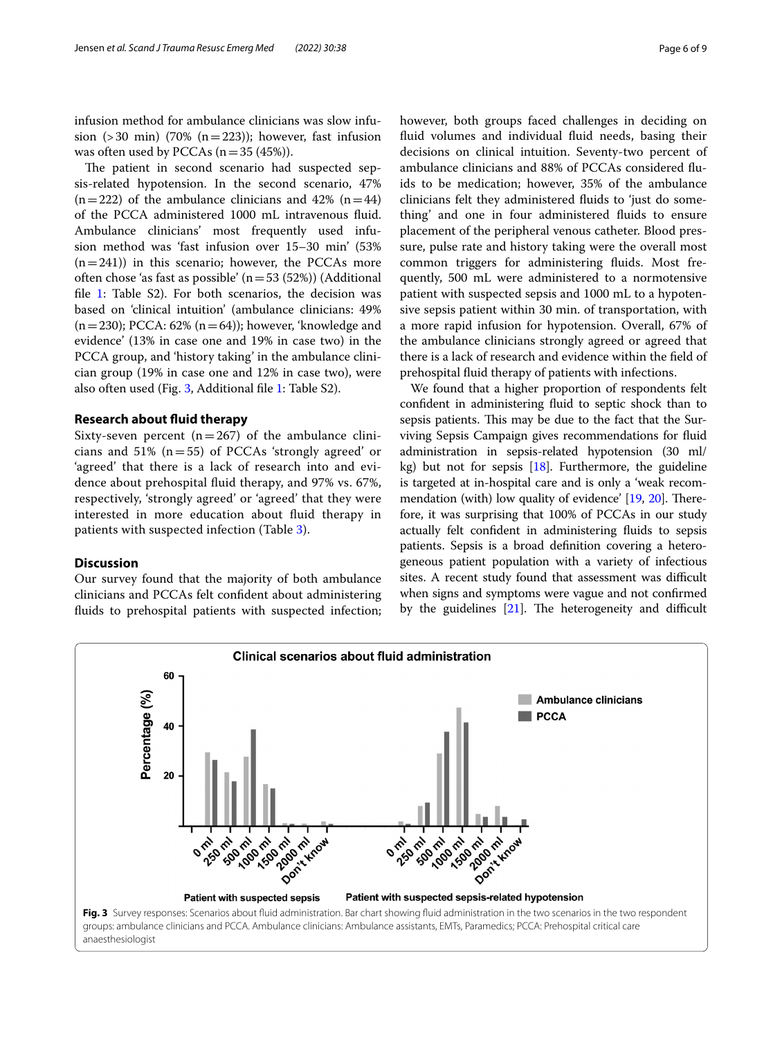infusion method for ambulance clinicians was slow infusion (>30 min) (70% (n=223)); however, fast infusion was often used by PCCAs  $(n=35 (45)$ ).

The patient in second scenario had suspected sepsis-related hypotension. In the second scenario, 47%  $(n=222)$  of the ambulance clinicians and 42%  $(n=44)$ of the PCCA administered 1000 mL intravenous fuid. Ambulance clinicians' most frequently used infusion method was 'fast infusion over 15–30 min' (53%  $(n=241)$ ) in this scenario; however, the PCCAs more often chose 'as fast as possible'  $(n=53 (52%))$  (Additional file [1:](#page-7-9) Table S2). For both scenarios, the decision was based on 'clinical intuition' (ambulance clinicians: 49%  $(n=230)$ ; PCCA: 62%  $(n=64)$ ); however, 'knowledge and evidence' (13% in case one and 19% in case two) in the PCCA group, and 'history taking' in the ambulance clinician group (19% in case one and 12% in case two), were also often used (Fig. [3](#page-5-0), Additional fle [1](#page-7-9): Table S2).

#### **Research about fuid therapy**

Sixty-seven percent ( $n=267$ ) of the ambulance clinicians and 51% ( $n=55$ ) of PCCAs 'strongly agreed' or 'agreed' that there is a lack of research into and evidence about prehospital fuid therapy, and 97% vs. 67%, respectively, 'strongly agreed' or 'agreed' that they were interested in more education about fuid therapy in patients with suspected infection (Table [3\)](#page-6-0).

# **Discussion**

Our survey found that the majority of both ambulance clinicians and PCCAs felt confdent about administering fuids to prehospital patients with suspected infection; however, both groups faced challenges in deciding on fluid volumes and individual fluid needs, basing their decisions on clinical intuition. Seventy-two percent of ambulance clinicians and 88% of PCCAs considered fuids to be medication; however, 35% of the ambulance clinicians felt they administered fuids to 'just do something' and one in four administered fuids to ensure placement of the peripheral venous catheter. Blood pressure, pulse rate and history taking were the overall most common triggers for administering fuids. Most frequently, 500 mL were administered to a normotensive patient with suspected sepsis and 1000 mL to a hypotensive sepsis patient within 30 min. of transportation, with a more rapid infusion for hypotension. Overall, 67% of the ambulance clinicians strongly agreed or agreed that there is a lack of research and evidence within the feld of prehospital fuid therapy of patients with infections.

We found that a higher proportion of respondents felt confdent in administering fuid to septic shock than to sepsis patients. This may be due to the fact that the Surviving Sepsis Campaign gives recommendations for fuid administration in sepsis-related hypotension (30 ml/ kg) but not for sepsis [\[18\]](#page-8-5). Furthermore, the guideline is targeted at in-hospital care and is only a 'weak recommendation (with) low quality of evidence'  $[19, 20]$  $[19, 20]$  $[19, 20]$ . Therefore, it was surprising that 100% of PCCAs in our study actually felt confdent in administering fuids to sepsis patients. Sepsis is a broad defnition covering a heterogeneous patient population with a variety of infectious sites. A recent study found that assessment was difficult when signs and symptoms were vague and not confrmed by the guidelines  $[21]$  $[21]$ . The heterogeneity and difficult

<span id="page-5-0"></span>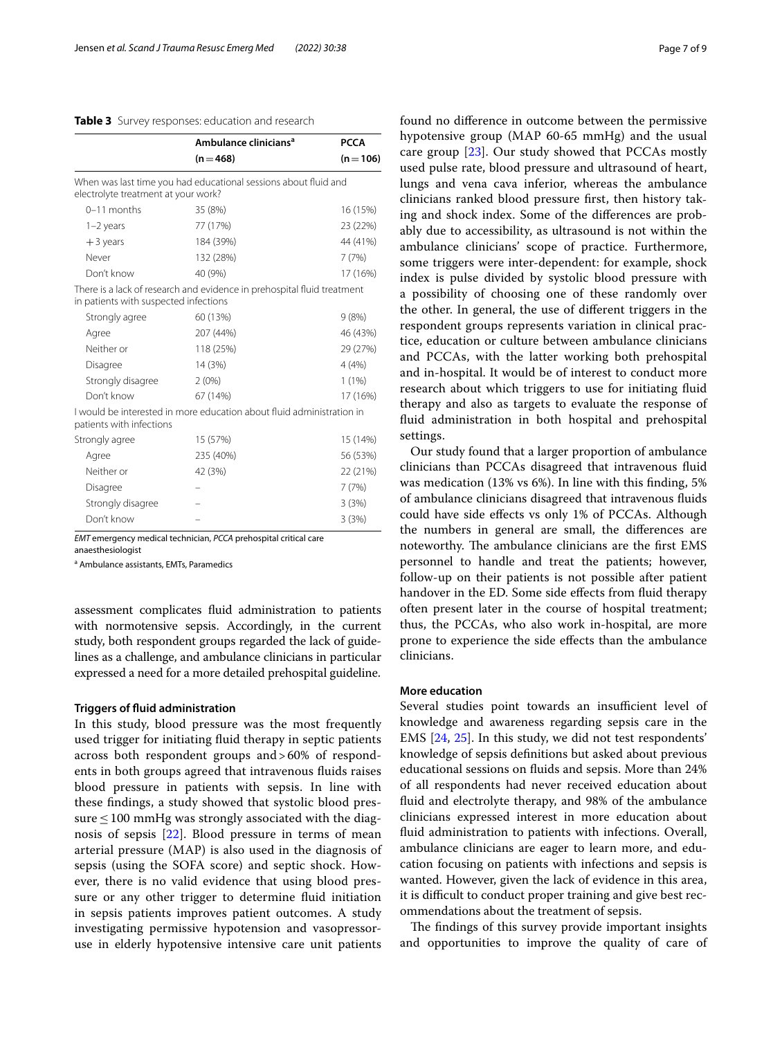#### <span id="page-6-0"></span>**Table 3** Survey responses: education and research

|                                       | Ambulance clinicians <sup>a</sup><br>$(n=468)$                          | <b>PCCA</b><br>$(n=106)$ |
|---------------------------------------|-------------------------------------------------------------------------|--------------------------|
|                                       |                                                                         |                          |
| electrolyte treatment at your work?   | When was last time you had educational sessions about fluid and         |                          |
| $0-11$ months                         | 35 (8%)                                                                 | 16 (15%)                 |
| $1-2$ years                           | 77 (17%)                                                                | 23 (22%)                 |
| $+3$ years                            | 184 (39%)                                                               | 44 (41%)                 |
| Never                                 | 132 (28%)                                                               | 7(7%)                    |
| Don't know                            | 40 (9%)                                                                 | 17 (16%)                 |
| in patients with suspected infections | There is a lack of research and evidence in prehospital fluid treatment |                          |
| Strongly agree                        | 60 (13%)                                                                | 9(8%)                    |
| Agree                                 | 207 (44%)                                                               | 46 (43%)                 |
| Neither or                            | 118 (25%)                                                               | 29 (27%)                 |
| Disagree                              | 14 (3%)                                                                 | 4(4%)                    |
| Strongly disagree                     | $2(0\%)$                                                                | 1(1%)                    |
| Don't know                            | 67 (14%)                                                                | 17 (16%)                 |
| patients with infections              | I would be interested in more education about fluid administration in   |                          |
| Strongly agree                        | 15 (57%)                                                                | 15 (14%)                 |
| Agree                                 | 235 (40%)                                                               | 56 (53%)                 |
| Neither or                            | 42 (3%)                                                                 | 22 (21%)                 |
| Disagree                              |                                                                         | 7(7%)                    |
| Strongly disagree                     |                                                                         | 3(3%)                    |
| Don't know                            |                                                                         | 3(3%)                    |

*EMT* emergency medical technician, *PCCA* prehospital critical care

anaesthesiologist

<sup>a</sup> Ambulance assistants, EMTs, Paramedics

assessment complicates fuid administration to patients with normotensive sepsis. Accordingly, in the current study, both respondent groups regarded the lack of guidelines as a challenge, and ambulance clinicians in particular expressed a need for a more detailed prehospital guideline.

#### **Triggers of fuid administration**

In this study, blood pressure was the most frequently used trigger for initiating fuid therapy in septic patients across both respondent groups and>60% of respondents in both groups agreed that intravenous fuids raises blood pressure in patients with sepsis. In line with these fndings, a study showed that systolic blood pressure  $\leq$  100 mmHg was strongly associated with the diagnosis of sepsis [[22\]](#page-8-9). Blood pressure in terms of mean arterial pressure (MAP) is also used in the diagnosis of sepsis (using the SOFA score) and septic shock. However, there is no valid evidence that using blood pressure or any other trigger to determine fuid initiation in sepsis patients improves patient outcomes. A study investigating permissive hypotension and vasopressoruse in elderly hypotensive intensive care unit patients found no diference in outcome between the permissive hypotensive group (MAP 60-65 mmHg) and the usual care group [[23\]](#page-8-10). Our study showed that PCCAs mostly used pulse rate, blood pressure and ultrasound of heart, lungs and vena cava inferior, whereas the ambulance clinicians ranked blood pressure frst, then history taking and shock index. Some of the diferences are probably due to accessibility, as ultrasound is not within the ambulance clinicians' scope of practice. Furthermore, some triggers were inter-dependent: for example, shock index is pulse divided by systolic blood pressure with a possibility of choosing one of these randomly over the other. In general, the use of diferent triggers in the respondent groups represents variation in clinical practice, education or culture between ambulance clinicians and PCCAs, with the latter working both prehospital and in-hospital. It would be of interest to conduct more research about which triggers to use for initiating fuid therapy and also as targets to evaluate the response of fuid administration in both hospital and prehospital settings.

Our study found that a larger proportion of ambulance clinicians than PCCAs disagreed that intravenous fuid was medication (13% vs 6%). In line with this fnding, 5% of ambulance clinicians disagreed that intravenous fuids could have side efects vs only 1% of PCCAs. Although the numbers in general are small, the diferences are noteworthy. The ambulance clinicians are the first EMS personnel to handle and treat the patients; however, follow-up on their patients is not possible after patient handover in the ED. Some side effects from fluid therapy often present later in the course of hospital treatment; thus, the PCCAs, who also work in-hospital, are more prone to experience the side efects than the ambulance clinicians.

### **More education**

Several studies point towards an insufficient level of knowledge and awareness regarding sepsis care in the EMS [[24,](#page-8-11) [25\]](#page-8-12). In this study, we did not test respondents' knowledge of sepsis defnitions but asked about previous educational sessions on fuids and sepsis. More than 24% of all respondents had never received education about fuid and electrolyte therapy, and 98% of the ambulance clinicians expressed interest in more education about fuid administration to patients with infections. Overall, ambulance clinicians are eager to learn more, and education focusing on patients with infections and sepsis is wanted. However, given the lack of evidence in this area, it is difficult to conduct proper training and give best recommendations about the treatment of sepsis.

The findings of this survey provide important insights and opportunities to improve the quality of care of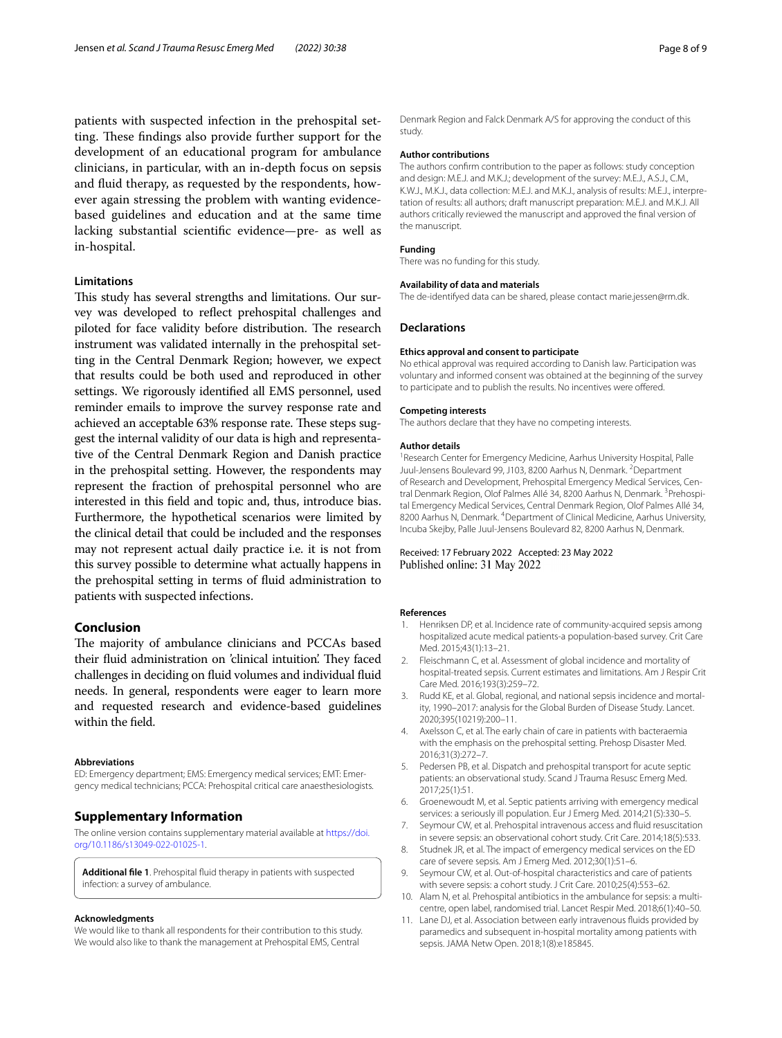patients with suspected infection in the prehospital setting. These findings also provide further support for the development of an educational program for ambulance clinicians, in particular, with an in-depth focus on sepsis and fuid therapy, as requested by the respondents, however again stressing the problem with wanting evidencebased guidelines and education and at the same time lacking substantial scientifc evidence—pre- as well as in-hospital.

# **Limitations**

This study has several strengths and limitations. Our survey was developed to refect prehospital challenges and piloted for face validity before distribution. The research instrument was validated internally in the prehospital setting in the Central Denmark Region; however, we expect that results could be both used and reproduced in other settings. We rigorously identifed all EMS personnel, used reminder emails to improve the survey response rate and achieved an acceptable 63% response rate. These steps suggest the internal validity of our data is high and representative of the Central Denmark Region and Danish practice in the prehospital setting. However, the respondents may represent the fraction of prehospital personnel who are interested in this feld and topic and, thus, introduce bias. Furthermore, the hypothetical scenarios were limited by the clinical detail that could be included and the responses may not represent actual daily practice i.e. it is not from this survey possible to determine what actually happens in the prehospital setting in terms of fuid administration to patients with suspected infections.

# **Conclusion**

The majority of ambulance clinicians and PCCAs based their fluid administration on 'clinical intuition'. They faced challenges in deciding on fuid volumes and individual fuid needs. In general, respondents were eager to learn more and requested research and evidence-based guidelines within the feld.

#### **Abbreviations**

ED: Emergency department; EMS: Emergency medical services; EMT: Emergency medical technicians; PCCA: Prehospital critical care anaesthesiologists.

### **Supplementary Information**

The online version contains supplementary material available at [https://doi.](https://doi.org/10.1186/s13049-022-01025-1) [org/10.1186/s13049-022-01025-1](https://doi.org/10.1186/s13049-022-01025-1).

<span id="page-7-9"></span>**Additional fle 1**. Prehospital fuid therapy in patients with suspected infection: a survey of ambulance.

#### **Acknowledgments**

We would like to thank all respondents for their contribution to this study. We would also like to thank the management at Prehospital EMS, Central

Denmark Region and Falck Denmark A/S for approving the conduct of this study*.*

#### **Author contributions**

The authors confrm contribution to the paper as follows: study conception and design: M.E.J. and M.K.J.; development of the survey: M.E.J., A.S.J., C.M., K.W.J., M.K.J., data collection: M.E.J. and M.K.J., analysis of results: M.E.J., interpretation of results: all authors; draft manuscript preparation: M.E.J. and M.K.J. All authors critically reviewed the manuscript and approved the fnal version of the manuscript.

#### **Funding**

There was no funding for this study.

#### **Availability of data and materials**

The de-identifyed data can be shared, please contact marie.jessen@rm.dk.

#### **Declarations**

#### **Ethics approval and consent to participate**

No ethical approval was required according to Danish law. Participation was voluntary and informed consent was obtained at the beginning of the survey to participate and to publish the results. No incentives were ofered.

#### **Competing interests**

The authors declare that they have no competing interests.

#### **Author details**

<sup>1</sup> Research Center for Emergency Medicine, Aarhus University Hospital, Palle Juul-Jensens Boulevard 99, J103, 8200 Aarhus N, Denmark. <sup>2</sup>Department of Research and Development, Prehospital Emergency Medical Services, Central Denmark Region, Olof Palmes Allé 34, 8200 Aarhus N, Denmark. <sup>3</sup> Prehospital Emergency Medical Services, Central Denmark Region, Olof Palmes Allé 34, 8200 Aarhus N, Denmark. 4 Department of Clinical Medicine, Aarhus University, Incuba Skejby, Palle Juul-Jensens Boulevard 82, 8200 Aarhus N, Denmark.

#### Received: 17 February 2022 Accepted: 23 May 2022 Published online: 31 May 2022

#### **References**

- <span id="page-7-0"></span>1. Henriksen DP, et al. Incidence rate of community-acquired sepsis among hospitalized acute medical patients-a population-based survey. Crit Care Med. 2015;43(1):13–21.
- 2. Fleischmann C, et al. Assessment of global incidence and mortality of hospital-treated sepsis. Current estimates and limitations. Am J Respir Crit Care Med. 2016;193(3):259–72.
- <span id="page-7-1"></span>3. Rudd KE, et al. Global, regional, and national sepsis incidence and mortality, 1990–2017: analysis for the Global Burden of Disease Study. Lancet. 2020;395(10219):200–11.
- <span id="page-7-2"></span>4. Axelsson C, et al. The early chain of care in patients with bacteraemia with the emphasis on the prehospital setting. Prehosp Disaster Med. 2016;31(3):272–7.
- 5. Pedersen PB, et al. Dispatch and prehospital transport for acute septic patients: an observational study. Scand J Trauma Resusc Emerg Med. 2017;25(1):51.
- <span id="page-7-3"></span>6. Groenewoudt M, et al. Septic patients arriving with emergency medical services: a seriously ill population. Eur J Emerg Med. 2014;21(5):330–5.
- <span id="page-7-4"></span>7. Seymour CW, et al. Prehospital intravenous access and fuid resuscitation in severe sepsis: an observational cohort study. Crit Care. 2014;18(5):533.
- <span id="page-7-5"></span>8. Studnek JR, et al. The impact of emergency medical services on the ED care of severe sepsis. Am J Emerg Med. 2012;30(1):51–6.
- <span id="page-7-6"></span>9. Seymour CW, et al. Out-of-hospital characteristics and care of patients with severe sepsis: a cohort study. J Crit Care. 2010;25(4):553–62.
- <span id="page-7-7"></span>10. Alam N, et al. Prehospital antibiotics in the ambulance for sepsis: a multicentre, open label, randomised trial. Lancet Respir Med. 2018;6(1):40–50.
- <span id="page-7-8"></span>11. Lane DJ, et al. Association between early intravenous fuids provided by paramedics and subsequent in-hospital mortality among patients with sepsis. JAMA Netw Open. 2018;1(8):e185845.